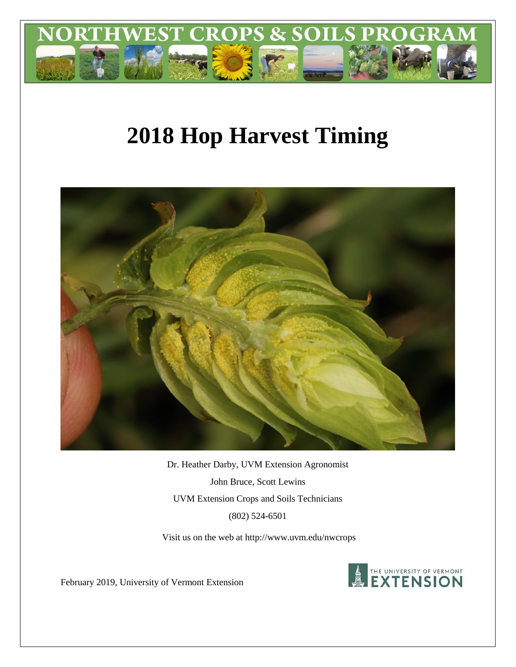

# **2018 Hop Harvest Timing**



Dr. Heather Darby, UVM Extension Agronomist John Bruce, Scott Lewins UVM Extension Crops and Soils Technicians (802) 524-6501

Visit us on the web at http:/[/www.uvm.edu/nwcrops](http://www.uvm.edu/nwcrops)



February 2019, University of Vermont Extension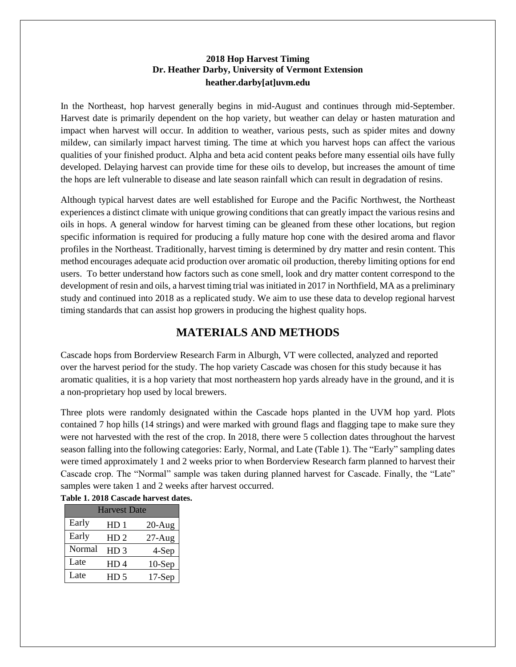#### **2018 Hop Harvest Timing Dr. Heather Darby, University of Vermont Extension heather.darby[at]uvm.edu**

In the Northeast, hop harvest generally begins in mid-August and continues through mid-September. Harvest date is primarily dependent on the hop variety, but weather can delay or hasten maturation and impact when harvest will occur. In addition to weather, various pests, such as spider mites and downy mildew, can similarly impact harvest timing. The time at which you harvest hops can affect the various qualities of your finished product. Alpha and beta acid content peaks before many essential oils have fully developed. Delaying harvest can provide time for these oils to develop, but increases the amount of time the hops are left vulnerable to disease and late season rainfall which can result in degradation of resins.

Although typical harvest dates are well established for Europe and the Pacific Northwest, the Northeast experiences a distinct climate with unique growing conditions that can greatly impact the various resins and oils in hops. A general window for harvest timing can be gleaned from these other locations, but region specific information is required for producing a fully mature hop cone with the desired aroma and flavor profiles in the Northeast. Traditionally, harvest timing is determined by dry matter and resin content. This method encourages adequate acid production over aromatic oil production, thereby limiting options for end users. To better understand how factors such as cone smell, look and dry matter content correspond to the development of resin and oils, a harvest timing trial was initiated in 2017 in Northfield, MA as a preliminary study and continued into 2018 as a replicated study. We aim to use these data to develop regional harvest timing standards that can assist hop growers in producing the highest quality hops.

## **MATERIALS AND METHODS**

Cascade hops from Borderview Research Farm in Alburgh, VT were collected, analyzed and reported over the harvest period for the study. The hop variety Cascade was chosen for this study because it has aromatic qualities, it is a hop variety that most northeastern hop yards already have in the ground, and it is a non-proprietary hop used by local brewers.

Three plots were randomly designated within the Cascade hops planted in the UVM hop yard. Plots contained 7 hop hills (14 strings) and were marked with ground flags and flagging tape to make sure they were not harvested with the rest of the crop. In 2018, there were 5 collection dates throughout the harvest season falling into the following categories: Early, Normal, and Late (Table 1). The "Early" sampling dates were timed approximately 1 and 2 weeks prior to when Borderview Research farm planned to harvest their Cascade crop. The "Normal" sample was taken during planned harvest for Cascade. Finally, the "Late" samples were taken 1 and 2 weeks after harvest occurred.

| Table 1. 2018 Cascade harvest dates. |                     |                 |           |  |  |  |  |  |
|--------------------------------------|---------------------|-----------------|-----------|--|--|--|--|--|
|                                      | <b>Harvest Date</b> |                 |           |  |  |  |  |  |
|                                      | Early               | HD <sub>1</sub> | $20-Aug$  |  |  |  |  |  |
|                                      | Early               | HD <sub>2</sub> | $27-Aug$  |  |  |  |  |  |
|                                      | Normal              | HD <sub>3</sub> | 4-Sep     |  |  |  |  |  |
|                                      | Late                | HD 4            | $10-$ Sep |  |  |  |  |  |
|                                      | Late                | HD <sub>5</sub> | $17-$ Sep |  |  |  |  |  |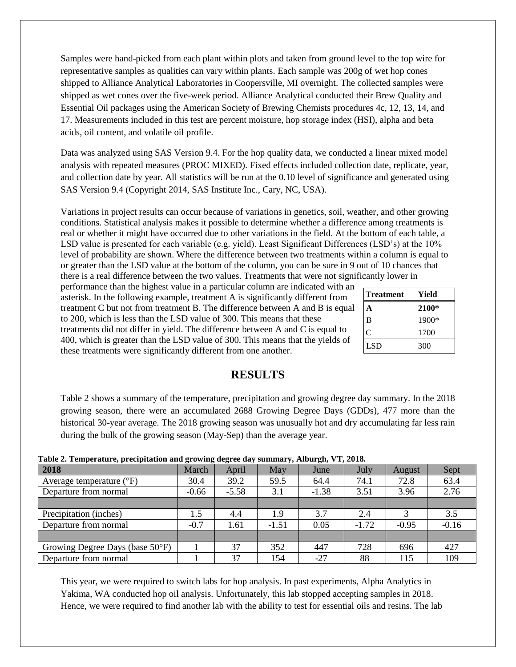Samples were hand-picked from each plant within plots and taken from ground level to the top wire for representative samples as qualities can vary within plants. Each sample was 200g of wet hop cones shipped to Alliance Analytical Laboratories in Coopersville, MI overnight. The collected samples were shipped as wet cones over the five-week period. Alliance Analytical conducted their Brew Quality and Essential Oil packages using the American Society of Brewing Chemists procedures 4c, 12, 13, 14, and 17. Measurements included in this test are percent moisture, hop storage index (HSI), alpha and beta acids, oil content, and volatile oil profile.

Data was analyzed using SAS Version 9.4. For the hop quality data, we conducted a linear mixed model analysis with repeated measures (PROC MIXED). Fixed effects included collection date, replicate, year, and collection date by year. All statistics will be run at the 0.10 level of significance and generated using SAS Version 9.4 (Copyright 2014, SAS Institute Inc., Cary, NC, USA).

Variations in project results can occur because of variations in genetics, soil, weather, and other growing conditions. Statistical analysis makes it possible to determine whether a difference among treatments is real or whether it might have occurred due to other variations in the field. At the bottom of each table, a LSD value is presented for each variable (e.g. yield). Least Significant Differences (LSD's) at the 10% level of probability are shown. Where the difference between two treatments within a column is equal to or greater than the LSD value at the bottom of the column, you can be sure in 9 out of 10 chances that there is a real difference between the two values. Treatments that were not significantly lower in

performance than the highest value in a particular column are indicated with an asterisk. In the following example, treatment A is significantly different from treatment C but not from treatment B. The difference between A and B is equal to 200, which is less than the LSD value of 300. This means that these treatments did not differ in yield. The difference between A and C is equal to 400, which is greater than the LSD value of 300. This means that the yields of these treatments were significantly different from one another.

| <b>Treatment</b> | Yield |
|------------------|-------|
|                  | 2100* |
| B                | 1900* |
| C                | 1700  |
| <b>LSD</b>       | 300   |

### **RESULTS**

Table 2 shows a summary of the temperature, precipitation and growing degree day summary. In the 2018 growing season, there were an accumulated 2688 Growing Degree Days (GDDs), 477 more than the historical 30-year average. The 2018 growing season was unusually hot and dry accumulating far less rain during the bulk of the growing season (May-Sep) than the average year.

| Table 2. Temperature, precipitation and growing degree day summary, mourgn, v 1, 2010. |         |         |         |         |         |         |         |
|----------------------------------------------------------------------------------------|---------|---------|---------|---------|---------|---------|---------|
| 2018                                                                                   | March   | April   | May     | June    | July    | August  | Sept    |
| Average temperature $({}^{\circ}F)$                                                    | 30.4    | 39.2    | 59.5    | 64.4    | 74.1    | 72.8    | 63.4    |
| Departure from normal                                                                  | $-0.66$ | $-5.58$ | 3.1     | $-1.38$ | 3.51    | 3.96    | 2.76    |
|                                                                                        |         |         |         |         |         |         |         |
| Precipitation (inches)                                                                 | 1.5     | 4.4     | 1.9     | 3.7     | 2.4     |         | 3.5     |
| Departure from normal                                                                  | $-0.7$  | 1.61    | $-1.51$ | 0.05    | $-1.72$ | $-0.95$ | $-0.16$ |
|                                                                                        |         |         |         |         |         |         |         |
| Growing Degree Days (base 50°F)                                                        |         | 37      | 352     | 447     | 728     | 696     | 427     |
| Departure from normal                                                                  |         | 37      | 154     | $-27$   | 88      | 115     | 109     |

**Table 2. Temperature, precipitation and growing degree day summary, Alburgh, VT, 2018.**

This year, we were required to switch labs for hop analysis. In past experiments, Alpha Analytics in Yakima, WA conducted hop oil analysis. Unfortunately, this lab stopped accepting samples in 2018. Hence, we were required to find another lab with the ability to test for essential oils and resins. The lab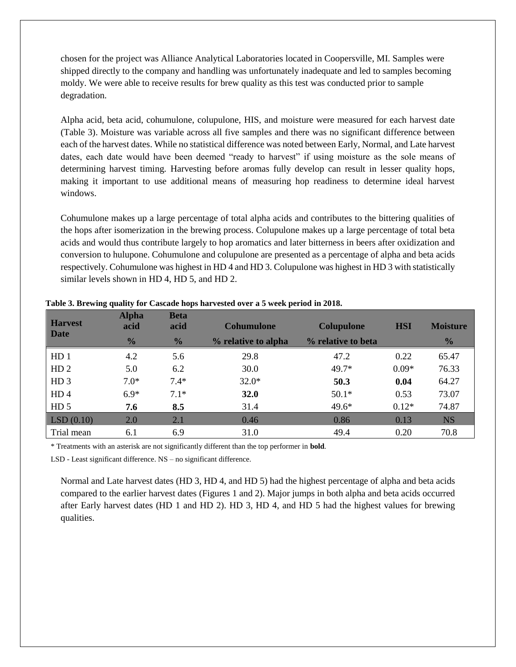chosen for the project was Alliance Analytical Laboratories located in Coopersville, MI. Samples were shipped directly to the company and handling was unfortunately inadequate and led to samples becoming moldy. We were able to receive results for brew quality as this test was conducted prior to sample degradation.

Alpha acid, beta acid, cohumulone, colupulone, HIS, and moisture were measured for each harvest date (Table 3). Moisture was variable across all five samples and there was no significant difference between each of the harvest dates. While no statistical difference was noted between Early, Normal, and Late harvest dates, each date would have been deemed "ready to harvest" if using moisture as the sole means of determining harvest timing. Harvesting before aromas fully develop can result in lesser quality hops, making it important to use additional means of measuring hop readiness to determine ideal harvest windows.

Cohumulone makes up a large percentage of total alpha acids and contributes to the bittering qualities of the hops after isomerization in the brewing process. Colupulone makes up a large percentage of total beta acids and would thus contribute largely to hop aromatics and later bitterness in beers after oxidization and conversion to hulupone. Cohumulone and colupulone are presented as a percentage of alpha and beta acids respectively. Cohumulone was highest in HD 4 and HD 3. Colupulone was highest in HD 3 with statistically similar levels shown in HD 4, HD 5, and HD 2.

| <b>Harvest</b><br><b>Date</b> | <b>Alpha</b><br>acid | <b>Beta</b><br>acid | <b>Cohumulone</b>   | <b>Colupulone</b>  | <b>HSI</b> | <b>Moisture</b> |
|-------------------------------|----------------------|---------------------|---------------------|--------------------|------------|-----------------|
|                               | $\frac{0}{0}$        | $\frac{1}{2}$       | % relative to alpha | % relative to beta |            | $\frac{1}{2}$   |
| HD <sub>1</sub>               | 4.2                  | 5.6                 | 29.8                | 47.2               | 0.22       | 65.47           |
| HD <sub>2</sub>               | 5.0                  | 6.2                 | 30.0                | $49.7*$            | $0.09*$    | 76.33           |
| HD <sub>3</sub>               | $7.0*$               | $7.4*$              | $32.0*$             | 50.3               | 0.04       | 64.27           |
| HD <sub>4</sub>               | $6.9*$               | $7.1*$              | 32.0                | $50.1*$            | 0.53       | 73.07           |
| HD <sub>5</sub>               | 7.6                  | 8.5                 | 31.4                | $49.6*$            | $0.12*$    | 74.87           |
| LSD(0.10)                     | 2.0                  | 2.1                 | 0.46                | 0.86               | 0.13       | <b>NS</b>       |
| Trial mean                    | 6.1                  | 6.9                 | 31.0                | 49.4               | 0.20       | 70.8            |

**Table 3. Brewing quality for Cascade hops harvested over a 5 week period in 2018.**

\* Treatments with an asterisk are not significantly different than the top performer in **bold**.

LSD - Least significant difference. NS – no significant difference.

Normal and Late harvest dates (HD 3, HD 4, and HD 5) had the highest percentage of alpha and beta acids compared to the earlier harvest dates (Figures 1 and 2). Major jumps in both alpha and beta acids occurred after Early harvest dates (HD 1 and HD 2). HD 3, HD 4, and HD 5 had the highest values for brewing qualities.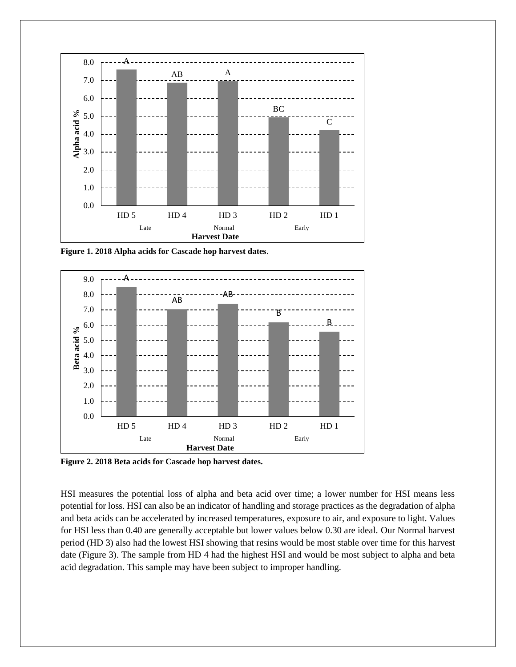

**Figure 1. 2018 Alpha acids for Cascade hop harvest dates**.



**Figure 2. 2018 Beta acids for Cascade hop harvest dates.**

HSI measures the potential loss of alpha and beta acid over time; a lower number for HSI means less potential for loss. HSI can also be an indicator of handling and storage practices as the degradation of alpha and beta acids can be accelerated by increased temperatures, exposure to air, and exposure to light. Values for HSI less than 0.40 are generally acceptable but lower values below 0.30 are ideal. Our Normal harvest period (HD 3) also had the lowest HSI showing that resins would be most stable over time for this harvest date (Figure 3). The sample from HD 4 had the highest HSI and would be most subject to alpha and beta acid degradation. This sample may have been subject to improper handling.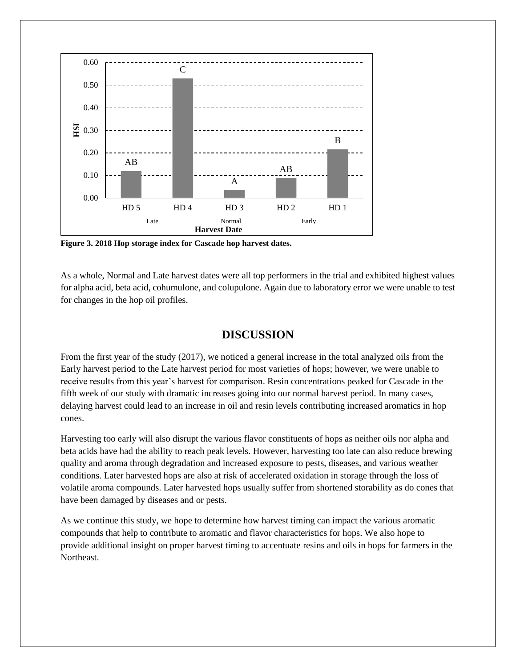

**Figure 3. 2018 Hop storage index for Cascade hop harvest dates.**

As a whole, Normal and Late harvest dates were all top performers in the trial and exhibited highest values for alpha acid, beta acid, cohumulone, and colupulone. Again due to laboratory error we were unable to test for changes in the hop oil profiles.

### **DISCUSSION**

From the first year of the study (2017), we noticed a general increase in the total analyzed oils from the Early harvest period to the Late harvest period for most varieties of hops; however, we were unable to receive results from this year's harvest for comparison. Resin concentrations peaked for Cascade in the fifth week of our study with dramatic increases going into our normal harvest period. In many cases, delaying harvest could lead to an increase in oil and resin levels contributing increased aromatics in hop cones.

Harvesting too early will also disrupt the various flavor constituents of hops as neither oils nor alpha and beta acids have had the ability to reach peak levels. However, harvesting too late can also reduce brewing quality and aroma through degradation and increased exposure to pests, diseases, and various weather conditions. Later harvested hops are also at risk of accelerated oxidation in storage through the loss of volatile aroma compounds. Later harvested hops usually suffer from shortened storability as do cones that have been damaged by diseases and or pests.

As we continue this study, we hope to determine how harvest timing can impact the various aromatic compounds that help to contribute to aromatic and flavor characteristics for hops. We also hope to provide additional insight on proper harvest timing to accentuate resins and oils in hops for farmers in the Northeast.